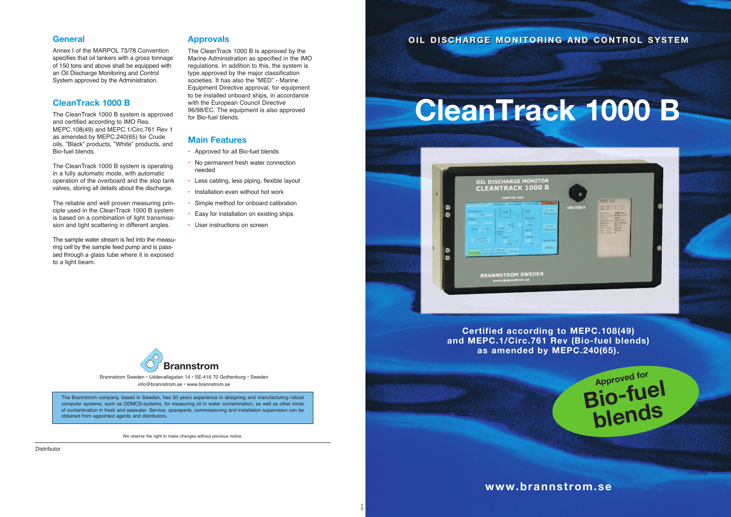We reserve the right to make changes without previous notice.

#### **General**

Annex I of the MARPOL 73/78 Convention specifies that oil tankers with a gross tonnage of 150 tons and above shall be equipped with an Oil Discharge Monitoring and Control System approved by the Administration.

## **CleanTrack 1000 B**

The CleanTrack 1000 B system is approved and certified according to IMO Res. MEPC.108(49) and MEPC.1/Circ.761 Rev 1 as amended by MEPC.240(65) for Crude oils, "Black" products, "White" products, and Bio-fuel blends.

The CleanTrack 1000 B system is operating in a fully automatic mode, with automatic operation of the overboard and the slop tank valves, storing all details about the discharge.

The reliable and well proven measuring principle used in the CleanTrack 1000 B system is based on a combination of light transmisssion and light scattering in different angles.

The sample water stream is fed into the measuring cell by the sample feed pump and is passsed through a glass tube where it is exposed to a light beam.

### **Approvals**

The CleanTrack 1000 B is approved by the Marine Administration as specified in the IMO regulations. In addition to this, the system is type approved by the major classification societies. It has also the "MED" - Marine Equipment Directive approval, for equipment to be installed onboard ships, in accordance with the European Council Directive 96/98/EC. The equipment is also approved for Bio-fuel blends.

# **Main Features**

- Approved for all Bio-fuel blends
- No permanent fresh water connection needed
- Less cabling, less piping, flexible layout
- Installation even without hot work
- Simple method for onboard calibration
- Easy for installation on existing ships
- User instructions on screen

2015





#### Distributor

OIL DISCHARGE MONITORING AND CONTROL SYSTEM

The Brannstrom company, based in Sweden, has 30 years experience in designing and manufacturing robust computer systems, such as ODMCS-systems, for measuring oil in water contamination, as well as other kinds of contamination in fresh and seawater. Service, spareparts, commissioning and installation supervision can be obtained from appointed agents and distributors.

Brannstrom Sweden • Uddevallagatan 14 • SE-416 70 Gothenburg • Sweden info@brannstrom.se • www.brannstrom.se





**Certified according to MEPC.108(49) and MEPC.1/Circ.761 Rev (Bio-fuel blends) as amended by MEPC.240(65).**

18

**OIL DISCHARGE MONITOR CLEANTRACK 1000 B** 

**BRANNSTROM SWEDEN** 

# **CleanTrack 1000 B**

**USB STICK** 

EAD TERP 1501 - 27 **P600 bes**<br>| **B 8112/** 

**Approved for**

**Bio-fuel**

**blends**